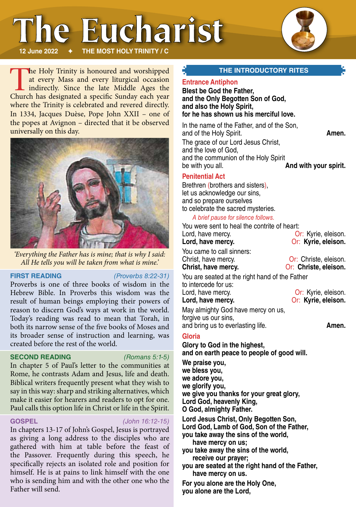# The Eucharist **12 June 2022** ✦ **THE MOST HOLY TRINITY / C**



The Holy Trinity is honoured and worshipped<br>at every Mass and every liturgical occasion<br>indirectly. Since the late Middle Ages the<br>Church has designated a specific Sunday each year at every Mass and every liturgical occasion  $\blacksquare$  indirectly. Since the late Middle Ages the Church has designated a specific Sunday each year where the Trinity is celebrated and revered directly. In 1334, Jacques Duèse, Pope John XXII – one of the popes at Avignon – directed that it be observed universally on this day.



*'Everything the Father has is mine; that is why I said: All He tells you will be taken from what is mine.'*

# **FIRST READING** *(Proverbs 8:22-31)*

Proverbs is one of three books of wisdom in the Hebrew Bible. In Proverbs this wisdom was the result of human beings employing their powers of reason to discern God's ways at work in the world. Today's reading was read to mean that Torah, in both its narrow sense of the five books of Moses and its broader sense of instruction and learning, was created before the rest of the world.

# **SECOND READING** *(Romans 5:1-5)*

In chapter 5 of Paul's letter to the communities at Rome, he contrasts Adam and Jesus, life and death. Biblical writers frequently present what they wish to say in this way: sharp and striking alternatives, which make it easier for hearers and readers to opt for one. Paul calls this option life in Christ or life in the Spirit.

# **GOSPEL** *(John 16:12-15)*

In chapters 13-17 of John's Gospel, Jesus is portrayed as giving a long address to the disciples who are gathered with him at table before the feast of the Passover. Frequently during this speech, he specifically rejects an isolated role and position for himself. He is at pains to link himself with the one who is sending him and with the other one who the Father will send.

# **THE INTRODUCTORY RITES**

# **Entrance Antiphon**

**Blest be God the Father, and the Only Begotten Son of God, and also the Holy Spirit, for he has shown us his merciful love.**

In the name of the Father, and of the Son, and of the Holy Spirit. **Amen.** The grace of our Lord Jesus Christ, and the love of God, and the communion of the Holy Spirit be with you all. **And with your spirit.**

# **Penitential Act**

Brethren (brothers and sisters), let us acknowledge our sins, and so prepare ourselves to celebrate the sacred mysteries.

# *A brief pause for silence follows.*

| You were sent to heal the contrite of heart:   |                       |
|------------------------------------------------|-----------------------|
| Lord, have mercy.                              | Or: Kyrie, eleison.   |
| Lord, have mercy.                              | Or: Kyrie, eleison.   |
| You came to call sinners:                      |                       |
| Christ, have mercy.                            | Or: Christe, eleison. |
| Christ, have mercy.                            | Or: Christe, eleison. |
| You are seated at the right hand of the Father |                       |

to intercede for us:

Lord, have mercy. **Communist Communist Communist Communist Communist Communist Communist Communist Communist Communist Communist Communist Communist Communist Communist Communist Communist Communist Communist Communist Com** Lord, have mercy. **Or:** Kyrie, eleison.

May almighty God have mercy on us, forgive us our sins, and bring us to everlasting life. **Amen.**

# **Gloria**

**Glory to God in the highest, and on earth peace to people of good will.**

**We praise you, we bless you, we adore you, we glorify you, we give you thanks for your great glory, Lord God, heavenly King, O God, almighty Father.** 

**Lord Jesus Christ, Only Begotten Son, Lord God, Lamb of God, Son of the Father, you take away the sins of the world,**

**have mercy on us; you take away the sins of the world,**

**receive our prayer; you are seated at the right hand of the Father, have mercy on us.**

**For you alone are the Holy One, you alone are the Lord,**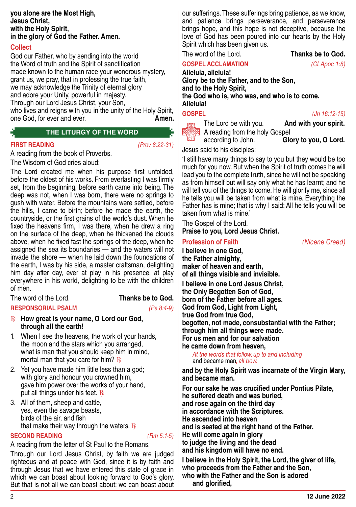# **you alone are the Most High, Jesus Christ, with the Holy Spirit, in the glory of God the Father. Amen.**

# **Collect**

God our Father, who by sending into the world the Word of truth and the Spirit of sanctification made known to the human race your wondrous mystery, grant us, we pray, that in professing the true faith, we may acknowledge the Trinity of eternal glory and adore your Unity, powerful in majesty. Through our Lord Jesus Christ, your Son, who lives and reigns with you in the unity of the Holy Spirit, one God, for ever and ever. **Amen.**

# **THE LITURGY OF THE WORD**

#### **FIRST READING** *(Prov 8:22-31)*

A reading from the book of Proverbs.

The Wisdom of God cries aloud:

The Lord created me when his purpose first unfolded, before the oldest of his works. From everlasting I was firmly set, from the beginning, before earth came into being. The deep was not, when I was born, there were no springs to gush with water. Before the mountains were settled, before the hills, I came to birth; before he made the earth, the countryside, or the first grains of the world's dust. When he fixed the heavens firm, I was there, when he drew a ring on the surface of the deep, when he thickened the clouds above, when he fixed fast the springs of the deep, when he assigned the sea its boundaries — and the waters will not invade the shore — when he laid down the foundations of the earth, I was by his side, a master craftsman, delighting him day after day, ever at play in his presence, at play everywhere in his world, delighting to be with the children of men.

# The word of the Lord. **Thanks be to God.**

**RESPONSORIAL PSALM** *(Ps 8:4-9)*

- **R** How great is your name, O Lord our God, **through all the earth!**
- 1. When I see the heavens, the work of your hands, the moon and the stars which you arranged, what is man that you should keep him in mind, mortal man that you care for him?  $\mathbb{R}$
- 2. Yet you have made him little less than a god; with glory and honour you crowned him, gave him power over the works of your hand, put all things under his feet.  $\mathbb{R}$
- 3. All of them, sheep and cattle, yes, even the savage beasts, birds of the air, and fish that make their way through the waters.  $\bf R$

# **SECOND READING** *(Rm 5:1-5)*

A reading from the letter of St Paul to the Romans.

Through our Lord Jesus Christ, by faith we are judged righteous and at peace with God, since it is by faith and through Jesus that we have entered this state of grace in which we can boast about looking forward to God's glory. But that is not all we can boast about; we can boast about our sufferings. These sufferings bring patience, as we know, and patience brings perseverance, and perseverance brings hope, and this hope is not deceptive, because the love of God has been poured into our hearts by the Holy Spirit which has been given us.

# The word of the Lord. **Thanks be to God.**

**GOSPEL ACCLAMATION** *(Cf. Apoc 1:8)*

**Alleluia, alleluia! Glory be to the Father, and to the Son, and to the Holy Spirit,** 

**the God who is, who was, and who is to come. Alleluia!**

# **GOSPEL** *(Jn 16:12-15)*

The Lord be with you. **And with your spirit.** A reading from the holy Gospel according to John. **Glory to you, O Lord.**

Jesus said to his disciples:

'I still have many things to say to you but they would be too much for you now. But when the Spirit of truth comes he will lead you to the complete truth, since he will not be speaking as from himself but will say only what he has learnt; and he will tell you of the things to come. He will glorify me, since all he tells you will be taken from what is mine. Everything the Father has is mine; that is why I said: All he tells you will be taken from what is mine.'

The Gospel of the Lord. **Praise to you, Lord Jesus Christ.**

# **Profession of Faith** *(Nicene Creed)*

**I believe in one God, the Father almighty, maker of heaven and earth, of all things visible and invisible.**

**I believe in one Lord Jesus Christ, the Only Begotten Son of God, born of the Father before all ages. God from God, Light from Light, true God from true God, begotten, not made, consubstantial with the Father; through him all things were made. For us men and for our salvation he came down from heaven,**

#### *At the words that follow, up to and including*  and became man*, all bow.*

**and by the Holy Spirit was incarnate of the Virgin Mary, and became man.**

**For our sake he was crucified under Pontius Pilate, he suffered death and was buried, and rose again on the third day in accordance with the Scriptures. He ascended into heaven and is seated at the right hand of the Father. He will come again in glory to judge the living and the dead and his kingdom will have no end.**

**I believe in the Holy Spirit, the Lord, the giver of life, who proceeds from the Father and the Son, who with the Father and the Son is adored and glorified,**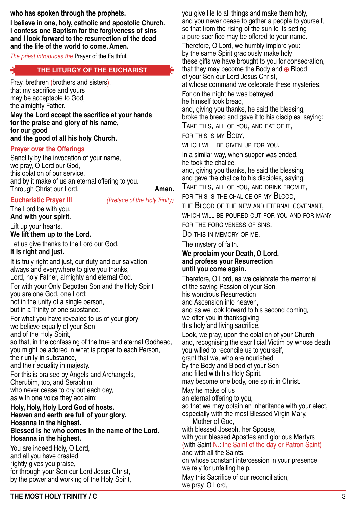**who has spoken through the prophets.**

**I believe in one, holy, catholic and apostolic Church. I confess one Baptism for the forgiveness of sins and I look forward to the resurrection of the dead and the life of the world to come. Amen.**

*The priest introduces the* Prayer of the Faithful*.*

# **THE LITURGY OF THE EUCHARIST**

Pray, brethren (brothers and sisters), that my sacrifice and yours may be acceptable to God, the almighty Father.

**May the Lord accept the sacrifice at your hands for the praise and glory of his name, for our good and the good of all his holy Church.**

# **Prayer over the Offerings**

Sanctify by the invocation of your name, we pray, O Lord our God, this oblation of our service, and by it make of us an eternal offering to you. Through Christ our Lord. **Amen.**

# **Eucharistic Prayer III** *(Preface of the Holy Trinity)*

# The Lord be with you. **And with your spirit.**

Lift up your hearts. **We lift them up to the Lord.**

Let us give thanks to the Lord our God. **It is right and just.**

It is truly right and just, our duty and our salvation, always and everywhere to give you thanks, Lord, holy Father, almighty and eternal God. For with your Only Begotten Son and the Holy Spirit you are one God, one Lord: not in the unity of a single person, but in a Trinity of one substance. For what you have revealed to us of your glory we believe equally of your Son and of the Holy Spirit, so that, in the confessing of the true and eternal Godhead, you might be adored in what is proper to each Person, their unity in substance, and their equality in majesty. For this is praised by Angels and Archangels, Cherubim, too, and Seraphim, who never cease to cry out each day, as with one voice they acclaim: **Holy, Holy, Holy Lord God of hosts. Heaven and earth are full of your glory. Hosanna in the highest. Blessed is he who comes in the name of the Lord. Hosanna in the highest.**

You are indeed Holy, O Lord, and all you have created rightly gives you praise, for through your Son our Lord Jesus Christ, by the power and working of the Holy Spirit, you give life to all things and make them holy, and you never cease to gather a people to yourself, so that from the rising of the sun to its setting a pure sacrifice may be offered to your name. Therefore, O Lord, we humbly implore you: by the same Spirit graciously make holy these gifts we have brought to you for consecration, that they may become the Body and  $\overline{\mathbf{F}}$  Blood of your Son our Lord Jesus Christ, at whose command we celebrate these mysteries. For on the night he was betrayed he himself took bread, and, giving you thanks, he said the blessing, broke the bread and gave it to his disciples, saying: Take this, all of you, and eat of it, for this is my Body, WHICH WILL BE GIVEN UP FOR YOU. In a similar way, when supper was ended, he took the chalice, and, giving you thanks, he said the blessing, and gave the chalice to his disciples, saying: I AKE THIS, ALL OF YOU, AND DRINK FROM IT, for this is the chalice of my Blood, the Blood of the new and eternal covenant, WHICH WILL BE POURED OUT FOR YOU AND FOR MANY for the forgiveness of sins. Do this in memory of me. The mystery of faith. **We proclaim your Death, O Lord, and profess your Resurrection until you come again.** Therefore, O Lord, as we celebrate the memorial of the saving Passion of your Son, his wondrous Resurrection and Ascension into heaven, and as we look forward to his second coming, we offer you in thanksgiving this holy and living sacrifice. Look, we pray, upon the oblation of your Church and, recognising the sacrificial Victim by whose death you willed to reconcile us to yourself, grant that we, who are nourished by the Body and Blood of your Son and filled with his Holy Spirit, may become one body, one spirit in Christ. May he make of us an eternal offering to you, so that we may obtain an inheritance with your elect, especially with the most Blessed Virgin Mary, Mother of God, with blessed Joseph, her Spouse, with your blessed Apostles and glorious Martyrs (with Saint N.: the Saint of the day or Patron Saint) and with all the Saints,

on whose constant intercession in your presence we rely for unfailing help.

May this Sacrifice of our reconciliation, we pray, O Lord,

# **THE MOST HOLY TRINITY / C** 3